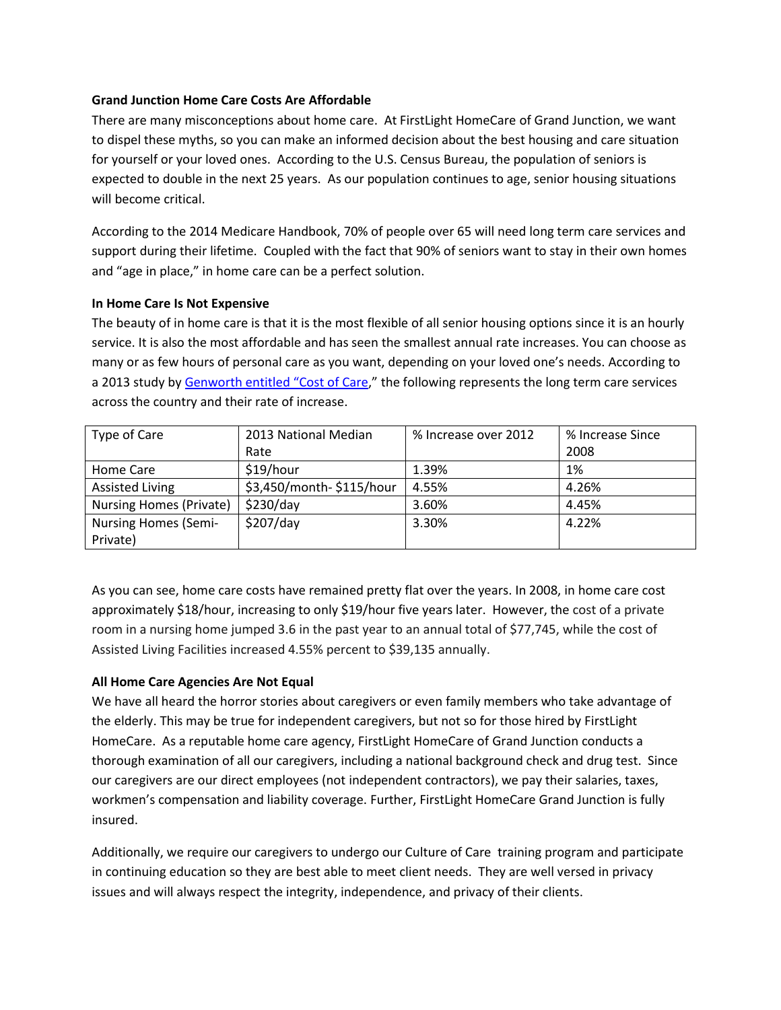## **Grand Junction Home Care Costs Are Affordable**

There are many misconceptions about home care. At FirstLight HomeCare of Grand Junction, we want to dispel these myths, so you can make an informed decision about the best housing and care situation for yourself or your loved ones. According to the U.S. Census Bureau, the population of seniors is expected to double in the next 25 years. As our population continues to age, senior housing situations will become critical.

According to the 2014 Medicare Handbook, 70% of people over 65 will need long term care services and support during their lifetime. Coupled with the fact that 90% of seniors want to stay in their own homes and "age in place," in home care can be a perfect solution.

## **In Home Care Is Not Expensive**

The beauty of in home care is that it is the most flexible of all senior housing options since it is an hourly service. It is also the most affordable and has seen the smallest annual rate increases. You can choose as many or as few hours of personal care as you want, depending on your loved one's needs. According to a 2013 study by Genworth [entitled "Cost of Care](https://www.genworth.com/dam/Americas/US/PDFs/Consumer/corporate/131168_031813_Executive%20Summary.pdf)," the following represents the long term care services across the country and their rate of increase.

| Type of Care                   | 2013 National Median     | % Increase over 2012 | % Increase Since |
|--------------------------------|--------------------------|----------------------|------------------|
|                                | Rate                     |                      | 2008             |
| Home Care                      | \$19/hour                | 1.39%                | 1%               |
| <b>Assisted Living</b>         | \$3,450/month-\$115/hour | 4.55%                | 4.26%            |
| <b>Nursing Homes (Private)</b> | \$230/day                | 3.60%                | 4.45%            |
| <b>Nursing Homes (Semi-</b>    | \$207/day                | 3.30%                | 4.22%            |
| Private)                       |                          |                      |                  |

As you can see, home care costs have remained pretty flat over the years. In 2008, in home care cost approximately \$18/hour, increasing to only \$19/hour five years later. However, the cost of a private room in a nursing home jumped 3.6 in the past year to an annual total of \$77,745, while the cost of Assisted Living Facilities increased 4.55% percent to \$39,135 annually.

## **All Home Care Agencies Are Not Equal**

We have all heard the horror stories about caregivers or even family members who take advantage of the elderly. This may be true for independent caregivers, but not so for those hired by FirstLight HomeCare. As a reputable home care agency, FirstLight HomeCare of Grand Junction conducts a thorough examination of all our caregivers, including a national background check and drug test. Since our caregivers are our direct employees (not independent contractors), we pay their salaries, taxes, workmen's compensation and liability coverage. Further, FirstLight HomeCare Grand Junction is fully insured.

Additionally, we require our caregivers to undergo our Culture of Care training program and participate in continuing education so they are best able to meet client needs. They are well versed in privacy issues and will always respect the integrity, independence, and privacy of their clients.